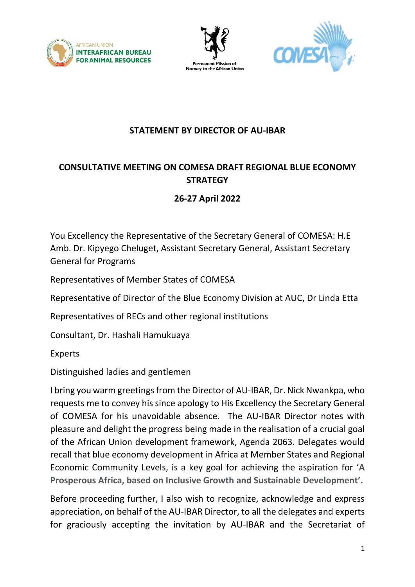





## **STATEMENT BY DIRECTOR OF AU-IBAR**

## **CONSULTATIVE MEETING ON COMESA DRAFT REGIONAL BLUE ECONOMY STRATEGY**

## **26-27 April 2022**

You Excellency the Representative of the Secretary General of COMESA: H.E Amb. Dr. Kipyego Cheluget, Assistant Secretary General, Assistant Secretary General for Programs

Representatives of Member States of COMESA

Representative of Director of the Blue Economy Division at AUC, Dr Linda Etta

Representatives of RECs and other regional institutions

Consultant, Dr. Hashali Hamukuaya

Experts

Distinguished ladies and gentlemen

I bring you warm greetings from the Director of AU-IBAR, Dr. Nick Nwankpa, who requests me to convey his since apology to His Excellency the Secretary General of COMESA for his unavoidable absence. The AU-IBAR Director notes with pleasure and delight the progress being made in the realisation of a crucial goal of the African Union development framework, Agenda 2063. Delegates would recall that blue economy development in Africa at Member States and Regional Economic Community Levels, is a key goal for achieving the aspiration for '**A Prosperous Africa, based on Inclusive Growth and Sustainable Development'.**

Before proceeding further, I also wish to recognize, acknowledge and express appreciation, on behalf of the AU-IBAR Director, to all the delegates and experts for graciously accepting the invitation by AU-IBAR and the Secretariat of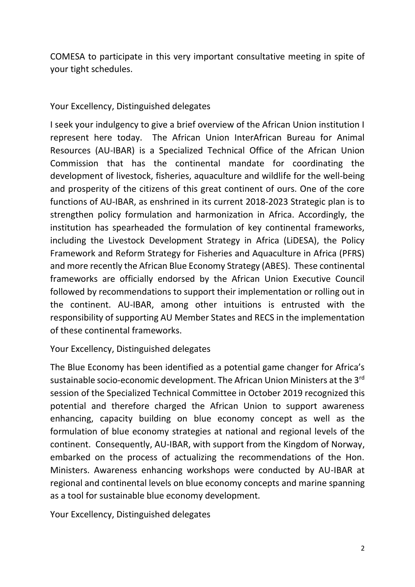COMESA to participate in this very important consultative meeting in spite of your tight schedules.

## Your Excellency, Distinguished delegates

I seek your indulgency to give a brief overview of the African Union institution I represent here today. The African Union InterAfrican Bureau for Animal Resources (AU-IBAR) is a Specialized Technical Office of the African Union Commission that has the continental mandate for coordinating the development of livestock, fisheries, aquaculture and wildlife for the well-being and prosperity of the citizens of this great continent of ours. One of the core functions of AU-IBAR, as enshrined in its current 2018-2023 Strategic plan is to strengthen policy formulation and harmonization in Africa. Accordingly, the institution has spearheaded the formulation of key continental frameworks, including the Livestock Development Strategy in Africa (LiDESA), the Policy Framework and Reform Strategy for Fisheries and Aquaculture in Africa (PFRS) and more recently the African Blue Economy Strategy (ABES). These continental frameworks are officially endorsed by the African Union Executive Council followed by recommendations to support their implementation or rolling out in the continent. AU-IBAR, among other intuitions is entrusted with the responsibility of supporting AU Member States and RECS in the implementation of these continental frameworks.

Your Excellency, Distinguished delegates

The Blue Economy has been identified as a potential game changer for Africa's sustainable socio-economic development. The African Union Ministers at the 3<sup>rd</sup> session of the Specialized Technical Committee in October 2019 recognized this potential and therefore charged the African Union to support awareness enhancing, capacity building on blue economy concept as well as the formulation of blue economy strategies at national and regional levels of the continent. Consequently, AU-IBAR, with support from the Kingdom of Norway, embarked on the process of actualizing the recommendations of the Hon. Ministers. Awareness enhancing workshops were conducted by AU-IBAR at regional and continental levels on blue economy concepts and marine spanning as a tool for sustainable blue economy development.

Your Excellency, Distinguished delegates